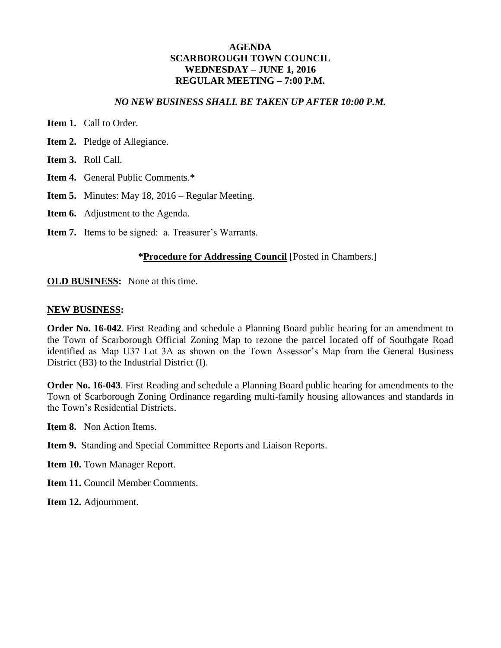#### **AGENDA SCARBOROUGH TOWN COUNCIL WEDNESDAY – JUNE 1, 2016 REGULAR MEETING – 7:00 P.M.**

#### *NO NEW BUSINESS SHALL BE TAKEN UP AFTER 10:00 P.M.*

- **Item 1. Call to Order.**
- **Item 2.** Pledge of Allegiance.
- **Item 3.** Roll Call.
- **Item 4.** General Public Comments.\*
- **Item 5.** Minutes: May 18, 2016 Regular Meeting.
- **Item 6.** Adjustment to the Agenda.
- **Item 7.** Items to be signed: a. Treasurer's Warrants.

#### **\*Procedure for Addressing Council** [Posted in Chambers.]

**OLD BUSINESS:** None at this time.

#### **NEW BUSINESS:**

**Order No. 16-042**. First Reading and schedule a Planning Board public hearing for an amendment to the Town of Scarborough Official Zoning Map to rezone the parcel located off of Southgate Road identified as Map U37 Lot 3A as shown on the Town Assessor's Map from the General Business District (B3) to the Industrial District (I).

**Order No. 16-043**. First Reading and schedule a Planning Board public hearing for amendments to the Town of Scarborough Zoning Ordinance regarding multi-family housing allowances and standards in the Town's Residential Districts.

**Item 8.** Non Action Items.

- **Item 9.** Standing and Special Committee Reports and Liaison Reports.
- **Item 10.** Town Manager Report.
- **Item 11. Council Member Comments.**

**Item 12.** Adjournment.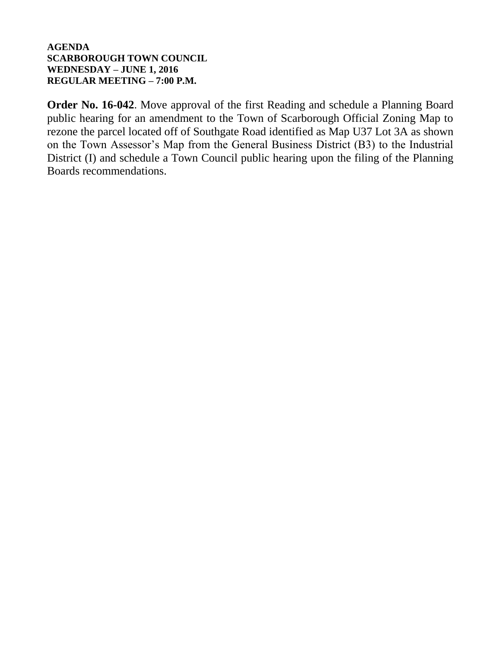#### **AGENDA SCARBOROUGH TOWN COUNCIL WEDNESDAY – JUNE 1, 2016 REGULAR MEETING – 7:00 P.M.**

**Order No. 16-042**. Move approval of the first Reading and schedule a Planning Board public hearing for an amendment to the Town of Scarborough Official Zoning Map to rezone the parcel located off of Southgate Road identified as Map U37 Lot 3A as shown on the Town Assessor's Map from the General Business District (B3) to the Industrial District (I) and schedule a Town Council public hearing upon the filing of the Planning Boards recommendations.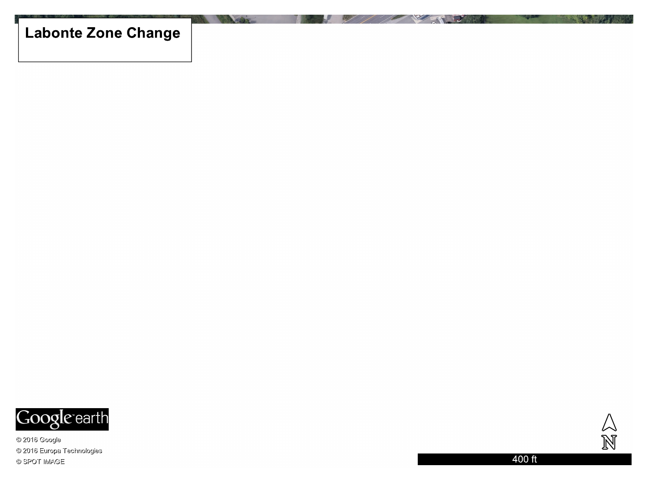# **Labonte Zone Change**



@ 2016 Google © 2016 Europa Technologies © SPOT IMAGE

 $\frac{\triangle}{\mathbb{N}}$ 

400 ft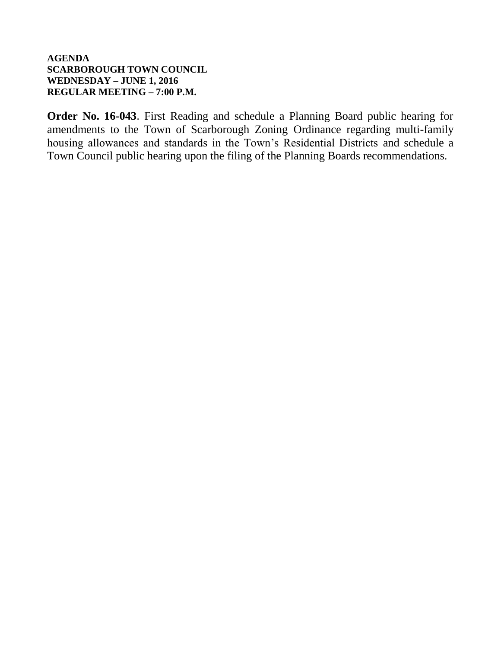## **AGENDA SCARBOROUGH TOWN COUNCIL WEDNESDAY – JUNE 1, 2016 REGULAR MEETING – 7:00 P.M.**

**Order No. 16-043**. First Reading and schedule a Planning Board public hearing for amendments to the Town of Scarborough Zoning Ordinance regarding multi-family housing allowances and standards in the Town's Residential Districts and schedule a Town Council public hearing upon the filing of the Planning Boards recommendations.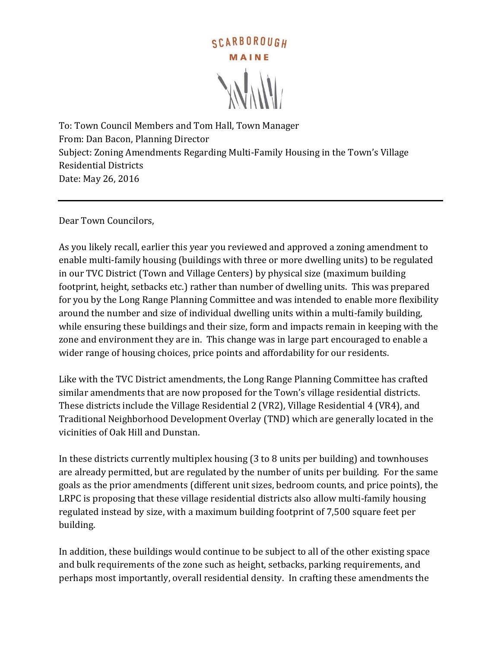

To: Town Council Members and Tom Hall, Town Manager From: Dan Bacon, Planning Director Subject: Zoning Amendments Regarding Multi-Family Housing in the Town's Village Residential Districts Date: May 26, 2016

Dear Town Councilors,

As you likely recall, earlier this year you reviewed and approved a zoning amendment to enable multi-family housing (buildings with three or more dwelling units) to be regulated in our TVC District (Town and Village Centers) by physical size (maximum building footprint, height, setbacks etc.) rather than number of dwelling units. This was prepared for you by the Long Range Planning Committee and was intended to enable more flexibility around the number and size of individual dwelling units within a multi-family building, while ensuring these buildings and their size, form and impacts remain in keeping with the zone and environment they are in. This change was in large part encouraged to enable a wider range of housing choices, price points and affordability for our residents.

Like with the TVC District amendments, the Long Range Planning Committee has crafted similar amendments that are now proposed for the Town's village residential districts. These districts include the Village Residential 2 (VR2), Village Residential 4 (VR4), and Traditional Neighborhood Development Overlay (TND) which are generally located in the vicinities of Oak Hill and Dunstan.

In these districts currently multiplex housing (3 to 8 units per building) and townhouses are already permitted, but are regulated by the number of units per building. For the same goals as the prior amendments (different unit sizes, bedroom counts, and price points), the LRPC is proposing that these village residential districts also allow multi-family housing regulated instead by size, with a maximum building footprint of 7,500 square feet per building.

In addition, these buildings would continue to be subject to all of the other existing space and bulk requirements of the zone such as height, setbacks, parking requirements, and perhaps most importantly, overall residential density. In crafting these amendments the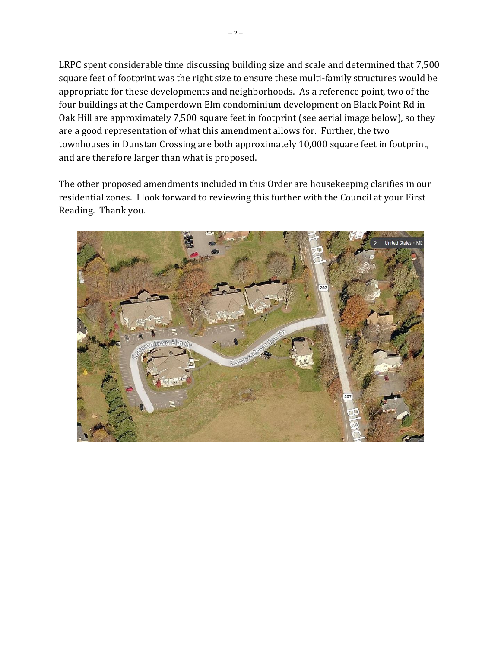LRPC spent considerable time discussing building size and scale and determined that 7,500 square feet of footprint was the right size to ensure these multi-family structures would be appropriate for these developments and neighborhoods. As a reference point, two of the four buildings at the Camperdown Elm condominium development on Black Point Rd in Oak Hill are approximately 7,500 square feet in footprint (see aerial image below), so they are a good representation of what this amendment allows for. Further, the two townhouses in Dunstan Crossing are both approximately 10,000 square feet in footprint, and are therefore larger than what is proposed.

The other proposed amendments included in this Order are housekeeping clarifies in our residential zones. I look forward to reviewing this further with the Council at your First Reading. Thank you.

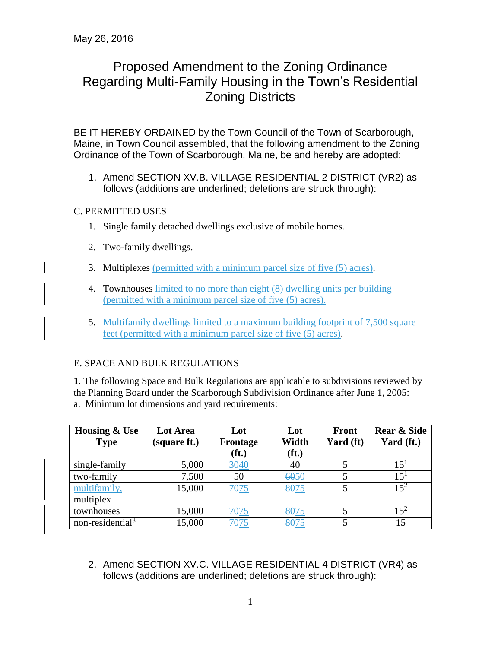# Proposed Amendment to the Zoning Ordinance Regarding Multi-Family Housing in the Town's Residential Zoning Districts

BE IT HEREBY ORDAINED by the Town Council of the Town of Scarborough, Maine, in Town Council assembled, that the following amendment to the Zoning Ordinance of the Town of Scarborough, Maine, be and hereby are adopted:

1. Amend SECTION XV.B. VILLAGE RESIDENTIAL 2 DISTRICT (VR2) as follows (additions are underlined; deletions are struck through):

# C. PERMITTED USES

- 1. Single family detached dwellings exclusive of mobile homes.
- 2. Two-family dwellings.
- 3. Multiplexes (permitted with a minimum parcel size of five (5) acres).
- 4. Townhouses limited to no more than eight (8) dwelling units per building (permitted with a minimum parcel size of five (5) acres).
- 5. Multifamily dwellings limited to a maximum building footprint of 7,500 square feet (permitted with a minimum parcel size of five (5) acres).

# E. SPACE AND BULK REGULATIONS

**1**. The following Space and Bulk Regulations are applicable to subdivisions reviewed by the Planning Board under the Scarborough Subdivision Ordinance after June 1, 2005: a. Minimum lot dimensions and yard requirements:

| <b>Housing &amp; Use</b><br><b>Type</b> | Lot Area<br>(square ft.) | Lot<br>Frontage<br>$(f_t)$ | Lot<br>Width<br>(f <sub>t</sub> ) | Front<br>Yard (ft) | <b>Rear &amp; Side</b><br>Yard (ft.) |
|-----------------------------------------|--------------------------|----------------------------|-----------------------------------|--------------------|--------------------------------------|
| single-family                           | 5,000                    | 3040                       | 40                                |                    | $15^{1}$                             |
| two-family                              | 7,500                    | 50                         | 6050                              |                    | $15^{1}$                             |
| multifamily,<br>multiplex               | 15,000                   | 7075                       | 8075                              |                    | $15^2$                               |
| townhouses                              | 15,000                   | 7075                       | 8075                              |                    | $15^{2}$                             |
| non-residential <sup>3</sup>            | 15,000                   | 7075                       | 8075                              |                    | 15                                   |

2. Amend SECTION XV.C. VILLAGE RESIDENTIAL 4 DISTRICT (VR4) as follows (additions are underlined; deletions are struck through):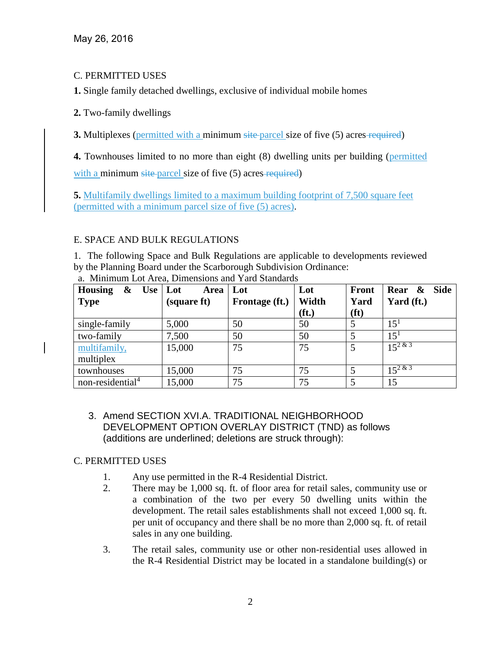## C. PERMITTED USES

**1.** Single family detached dwellings, exclusive of individual mobile homes

#### **2.** Two-family dwellings

**3.** Multiplexes (permitted with a minimum site parcel size of five (5) acres required)

**4.** Townhouses limited to no more than eight (8) dwelling units per building (permitted

with a minimum site-parcel size of five (5) acres-required)

**5.** Multifamily dwellings limited to a maximum building footprint of 7,500 square feet (permitted with a minimum parcel size of five (5) acres).

#### E. SPACE AND BULK REGULATIONS

1. The following Space and Bulk Regulations are applicable to developments reviewed by the Planning Board under the Scarborough Subdivision Ordinance:

| <b>Housing</b><br>&<br>$Use$ Lot | Area        | Lot            | Lot               | <b>Front</b>      | <b>Side</b><br>Rear & |
|----------------------------------|-------------|----------------|-------------------|-------------------|-----------------------|
| <b>Type</b>                      | (square ft) | Frontage (ft.) | Width             | Yard              | Yard (ft.)            |
|                                  |             |                | (f <sub>t</sub> ) | (f <sup>t</sup> ) |                       |
| single-family                    | 5,000       | 50             | 50                | 5                 | $15^{1}$              |
| two-family                       | 7,500       | 50             | 50                | 5                 | $15^{1}$              |
| multifamily,                     | 15,000      | 75             | 75                | 5                 | $15^{2 \& 3}$         |
| multiplex                        |             |                |                   |                   |                       |
| townhouses                       | 15,000      | 75             | 75                | 5                 | $15^{2 \& 3}$         |
| non-residential <sup>4</sup>     | 15,000      | 75             | 75                | 5                 | 15                    |

a. Minimum Lot Area, Dimensions and Yard Standards

3. Amend SECTION XVI.A. TRADITIONAL NEIGHBORHOOD DEVELOPMENT OPTION OVERLAY DISTRICT (TND) as follows (additions are underlined; deletions are struck through):

## C. PERMITTED USES

- 1. Any use permitted in the R-4 Residential District.
- 2. There may be 1,000 sq. ft. of floor area for retail sales, community use or a combination of the two per every 50 dwelling units within the development. The retail sales establishments shall not exceed 1,000 sq. ft. per unit of occupancy and there shall be no more than 2,000 sq. ft. of retail sales in any one building.
- 3. The retail sales, community use or other non-residential uses allowed in the R-4 Residential District may be located in a standalone building(s) or